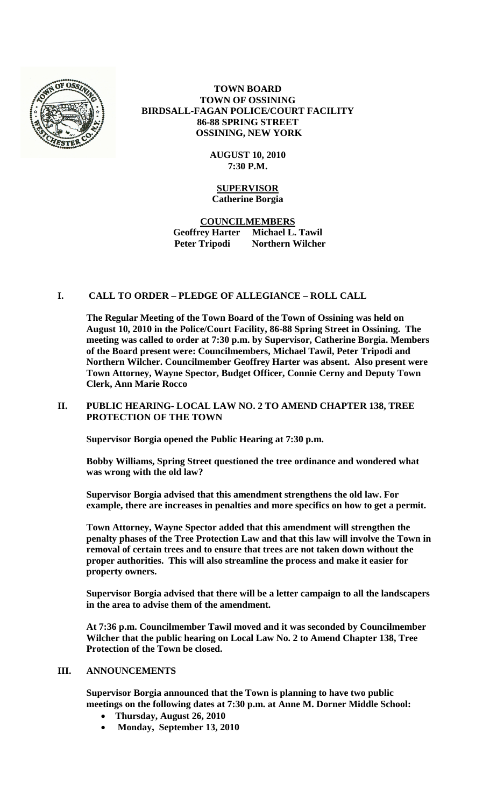

**TOWN BOARD TOWN OF OSSINING BIRDSALL-FAGAN POLICE/COURT FACILITY 86-88 SPRING STREET OSSINING, NEW YORK**

> **AUGUST 10, 2010 7:30 P.M.**

# **SUPERVISOR Catherine Borgia**

**COUNCILMEMBERS Geoffrey Harter Michael L. Tawil Peter Tripodi Northern Wilcher**

# **I. CALL TO ORDER – PLEDGE OF ALLEGIANCE – ROLL CALL**

**The Regular Meeting of the Town Board of the Town of Ossining was held on August 10, 2010 in the Police/Court Facility, 86-88 Spring Street in Ossining. The meeting was called to order at 7:30 p.m. by Supervisor, Catherine Borgia. Members of the Board present were: Councilmembers, Michael Tawil, Peter Tripodi and Northern Wilcher. Councilmember Geoffrey Harter was absent. Also present were Town Attorney, Wayne Spector, Budget Officer, Connie Cerny and Deputy Town Clerk, Ann Marie Rocco**

## **II. PUBLIC HEARING- LOCAL LAW NO. 2 TO AMEND CHAPTER 138, TREE PROTECTION OF THE TOWN**

**Supervisor Borgia opened the Public Hearing at 7:30 p.m.** 

**Bobby Williams, Spring Street questioned the tree ordinance and wondered what was wrong with the old law?**

**Supervisor Borgia advised that this amendment strengthens the old law. For example, there are increases in penalties and more specifics on how to get a permit.**

**Town Attorney, Wayne Spector added that this amendment will strengthen the penalty phases of the Tree Protection Law and that this law will involve the Town in removal of certain trees and to ensure that trees are not taken down without the proper authorities. This will also streamline the process and make it easier for property owners.**

**Supervisor Borgia advised that there will be a letter campaign to all the landscapers in the area to advise them of the amendment.**

**At 7:36 p.m. Councilmember Tawil moved and it was seconded by Councilmember Wilcher that the public hearing on Local Law No. 2 to Amend Chapter 138, Tree Protection of the Town be closed.** 

### **III. ANNOUNCEMENTS**

**Supervisor Borgia announced that the Town is planning to have two public meetings on the following dates at 7:30 p.m. at Anne M. Dorner Middle School:**

- **Thursday, August 26, 2010**
- **Monday, September 13, 2010**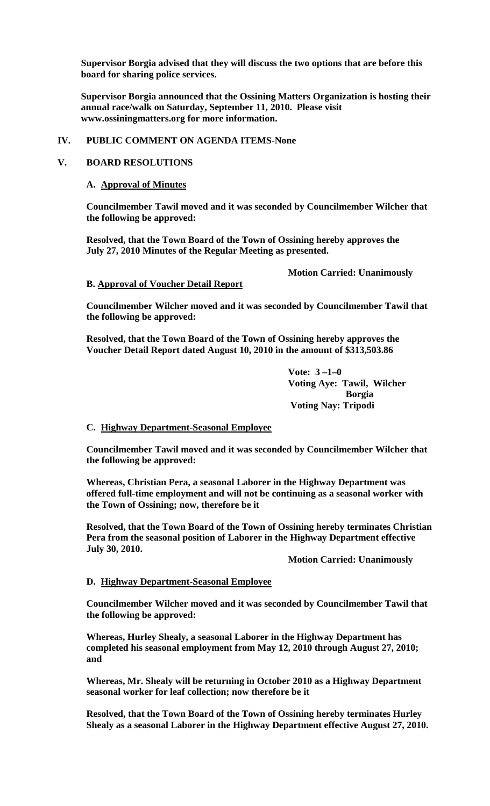**Supervisor Borgia advised that they will discuss the two options that are before this board for sharing police services.**

**Supervisor Borgia announced that the Ossining Matters Organization is hosting their annual race/walk on Saturday, September 11, 2010. Please visit www.ossiningmatters.org for more information.** 

### **IV. PUBLIC COMMENT ON AGENDA ITEMS-None**

## **V. BOARD RESOLUTIONS**

### **A. Approval of Minutes**

**Councilmember Tawil moved and it was seconded by Councilmember Wilcher that the following be approved:**

**Resolved, that the Town Board of the Town of Ossining hereby approves the July 27, 2010 Minutes of the Regular Meeting as presented.**

**Motion Carried: Unanimously**

# **B. Approval of Voucher Detail Report**

**Councilmember Wilcher moved and it was seconded by Councilmember Tawil that the following be approved:**

**Resolved, that the Town Board of the Town of Ossining hereby approves the Voucher Detail Report dated August 10, 2010 in the amount of \$313,503.86**

> **Vote: 3 –1–0 Voting Aye: Tawil, Wilcher Borgia Voting Nay: Tripodi**

# **C. Highway Department-Seasonal Employee**

**Councilmember Tawil moved and it was seconded by Councilmember Wilcher that the following be approved:**

**Whereas, Christian Pera, a seasonal Laborer in the Highway Department was offered full-time employment and will not be continuing as a seasonal worker with the Town of Ossining; now, therefore be it**

**Resolved, that the Town Board of the Town of Ossining hereby terminates Christian Pera from the seasonal position of Laborer in the Highway Department effective July 30, 2010.**

**Motion Carried: Unanimously**

# **D. Highway Department-Seasonal Employee**

**Councilmember Wilcher moved and it was seconded by Councilmember Tawil that the following be approved:**

**Whereas, Hurley Shealy, a seasonal Laborer in the Highway Department has completed his seasonal employment from May 12, 2010 through August 27, 2010; and**

**Whereas, Mr. Shealy will be returning in October 2010 as a Highway Department seasonal worker for leaf collection; now therefore be it**

**Resolved, that the Town Board of the Town of Ossining hereby terminates Hurley Shealy as a seasonal Laborer in the Highway Department effective August 27, 2010.**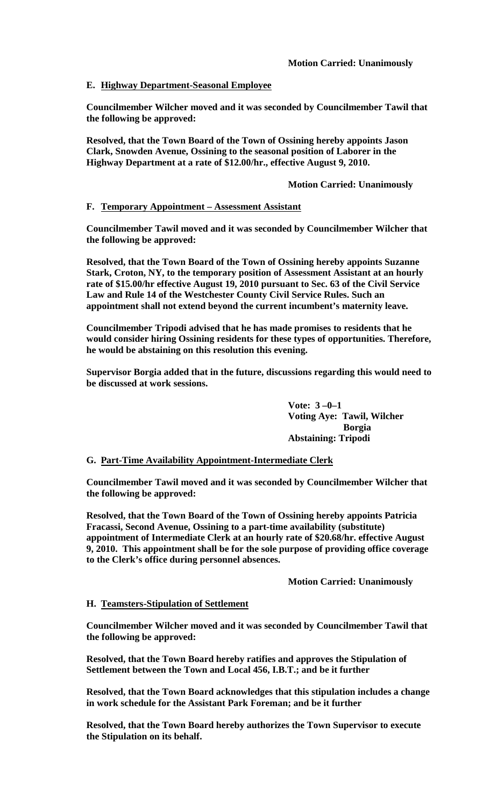# **E. Highway Department-Seasonal Employee**

**Councilmember Wilcher moved and it was seconded by Councilmember Tawil that the following be approved:**

**Resolved, that the Town Board of the Town of Ossining hereby appoints Jason Clark, Snowden Avenue, Ossining to the seasonal position of Laborer in the Highway Department at a rate of \$12.00/hr., effective August 9, 2010.**

**Motion Carried: Unanimously**

# **F. Temporary Appointment – Assessment Assistant**

**Councilmember Tawil moved and it was seconded by Councilmember Wilcher that the following be approved:**

**Resolved, that the Town Board of the Town of Ossining hereby appoints Suzanne Stark, Croton, NY, to the temporary position of Assessment Assistant at an hourly rate of \$15.00/hr effective August 19, 2010 pursuant to Sec. 63 of the Civil Service Law and Rule 14 of the Westchester County Civil Service Rules. Such an appointment shall not extend beyond the current incumbent's maternity leave.**

**Councilmember Tripodi advised that he has made promises to residents that he would consider hiring Ossining residents for these types of opportunities. Therefore, he would be abstaining on this resolution this evening.**

**Supervisor Borgia added that in the future, discussions regarding this would need to be discussed at work sessions.** 

> **Vote: 3 –0–1 Voting Aye: Tawil, Wilcher Borgia Abstaining: Tripodi**

# **G. Part-Time Availability Appointment-Intermediate Clerk**

**Councilmember Tawil moved and it was seconded by Councilmember Wilcher that the following be approved:**

**Resolved, that the Town Board of the Town of Ossining hereby appoints Patricia Fracassi, Second Avenue, Ossining to a part-time availability (substitute) appointment of Intermediate Clerk at an hourly rate of \$20.68/hr. effective August 9, 2010. This appointment shall be for the sole purpose of providing office coverage to the Clerk's office during personnel absences.** 

**Motion Carried: Unanimously**

### **H. Teamsters-Stipulation of Settlement**

**Councilmember Wilcher moved and it was seconded by Councilmember Tawil that the following be approved:**

**Resolved, that the Town Board hereby ratifies and approves the Stipulation of Settlement between the Town and Local 456, I.B.T.; and be it further**

**Resolved, that the Town Board acknowledges that this stipulation includes a change in work schedule for the Assistant Park Foreman; and be it further**

**Resolved, that the Town Board hereby authorizes the Town Supervisor to execute the Stipulation on its behalf.**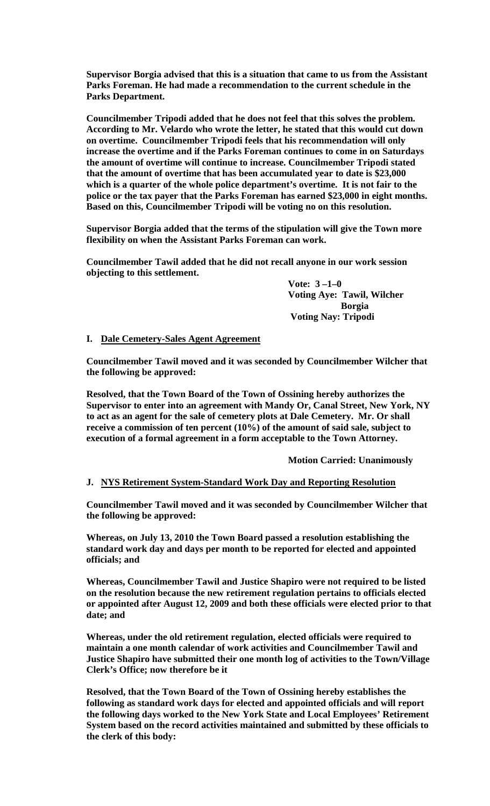**Supervisor Borgia advised that this is a situation that came to us from the Assistant Parks Foreman. He had made a recommendation to the current schedule in the Parks Department.** 

**Councilmember Tripodi added that he does not feel that this solves the problem. According to Mr. Velardo who wrote the letter, he stated that this would cut down on overtime. Councilmember Tripodi feels that his recommendation will only increase the overtime and if the Parks Foreman continues to come in on Saturdays the amount of overtime will continue to increase. Councilmember Tripodi stated that the amount of overtime that has been accumulated year to date is \$23,000 which is a quarter of the whole police department's overtime. It is not fair to the police or the tax payer that the Parks Foreman has earned \$23,000 in eight months. Based on this, Councilmember Tripodi will be voting no on this resolution.**

**Supervisor Borgia added that the terms of the stipulation will give the Town more flexibility on when the Assistant Parks Foreman can work.**

**Councilmember Tawil added that he did not recall anyone in our work session objecting to this settlement.**

> **Vote: 3 –1–0 Voting Aye: Tawil, Wilcher Borgia Voting Nay: Tripodi**

**I. Dale Cemetery-Sales Agent Agreement** 

**Councilmember Tawil moved and it was seconded by Councilmember Wilcher that the following be approved:**

**Resolved, that the Town Board of the Town of Ossining hereby authorizes the Supervisor to enter into an agreement with Mandy Or, Canal Street, New York, NY to act as an agent for the sale of cemetery plots at Dale Cemetery. Mr. Or shall receive a commission of ten percent (10%) of the amount of said sale, subject to execution of a formal agreement in a form acceptable to the Town Attorney.**

**Motion Carried: Unanimously**

# **J. NYS Retirement System-Standard Work Day and Reporting Resolution**

**Councilmember Tawil moved and it was seconded by Councilmember Wilcher that the following be approved:**

**Whereas, on July 13, 2010 the Town Board passed a resolution establishing the standard work day and days per month to be reported for elected and appointed officials; and**

**Whereas, Councilmember Tawil and Justice Shapiro were not required to be listed on the resolution because the new retirement regulation pertains to officials elected or appointed after August 12, 2009 and both these officials were elected prior to that date; and**

**Whereas, under the old retirement regulation, elected officials were required to maintain a one month calendar of work activities and Councilmember Tawil and Justice Shapiro have submitted their one month log of activities to the Town/Village Clerk's Office; now therefore be it**

**Resolved, that the Town Board of the Town of Ossining hereby establishes the following as standard work days for elected and appointed officials and will report the following days worked to the New York State and Local Employees' Retirement System based on the record activities maintained and submitted by these officials to the clerk of this body:**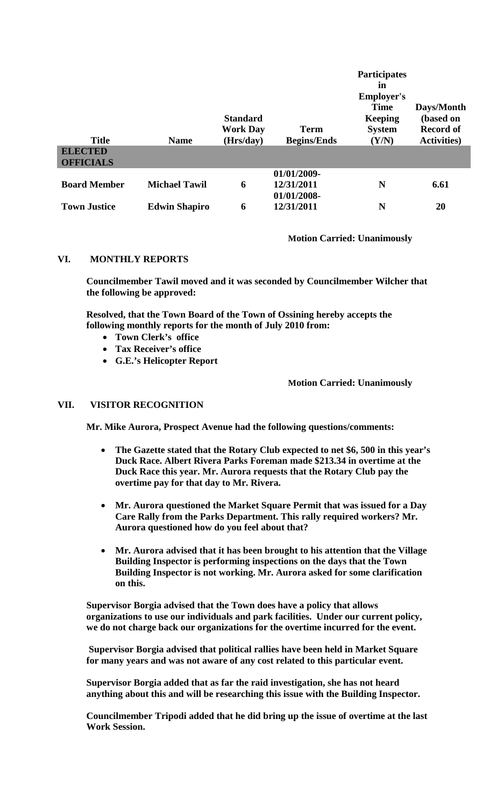| <b>Title</b><br><b>ELECTED</b><br><b>OFFICIALS</b> | <b>Name</b>          | <b>Standard</b><br><b>Work Day</b><br>(Hrs/day) | Term<br><b>Begins/Ends</b> | <b>Participates</b><br>in<br><b>Employer's</b><br><b>Time</b><br><b>Keeping</b><br><b>System</b><br>(Y/N) | Days/Month<br>(based on<br><b>Record of</b><br><b>Activities</b> ) |
|----------------------------------------------------|----------------------|-------------------------------------------------|----------------------------|-----------------------------------------------------------------------------------------------------------|--------------------------------------------------------------------|
| <b>Board Member</b>                                | <b>Michael Tawil</b> | 6                                               | 01/01/2009-<br>12/31/2011  | N                                                                                                         | 6.61                                                               |
| <b>Town Justice</b>                                | <b>Edwin Shapiro</b> | 6                                               | 01/01/2008-<br>12/31/2011  | N                                                                                                         | 20                                                                 |

**Motion Carried: Unanimously**

## **VI. MONTHLY REPORTS**

**Councilmember Tawil moved and it was seconded by Councilmember Wilcher that the following be approved:**

**Resolved, that the Town Board of the Town of Ossining hereby accepts the following monthly reports for the month of July 2010 from:**

- **Town Clerk's office**
- **Tax Receiver's office**
- **G.E.'s Helicopter Report**

### **Motion Carried: Unanimously**

## **VII. VISITOR RECOGNITION**

**Mr. Mike Aurora, Prospect Avenue had the following questions/comments:**

- **The Gazette stated that the Rotary Club expected to net \$6, 500 in this year's Duck Race. Albert Rivera Parks Foreman made \$213.34 in overtime at the Duck Race this year. Mr. Aurora requests that the Rotary Club pay the overtime pay for that day to Mr. Rivera.**
- **Mr. Aurora questioned the Market Square Permit that was issued for a Day Care Rally from the Parks Department. This rally required workers? Mr. Aurora questioned how do you feel about that?**
- **Mr. Aurora advised that it has been brought to his attention that the Village Building Inspector is performing inspections on the days that the Town Building Inspector is not working. Mr. Aurora asked for some clarification on this.**

**Supervisor Borgia advised that the Town does have a policy that allows organizations to use our individuals and park facilities. Under our current policy, we do not charge back our organizations for the overtime incurred for the event.**

**Supervisor Borgia advised that political rallies have been held in Market Square for many years and was not aware of any cost related to this particular event.**

**Supervisor Borgia added that as far the raid investigation, she has not heard anything about this and will be researching this issue with the Building Inspector.** 

**Councilmember Tripodi added that he did bring up the issue of overtime at the last Work Session.**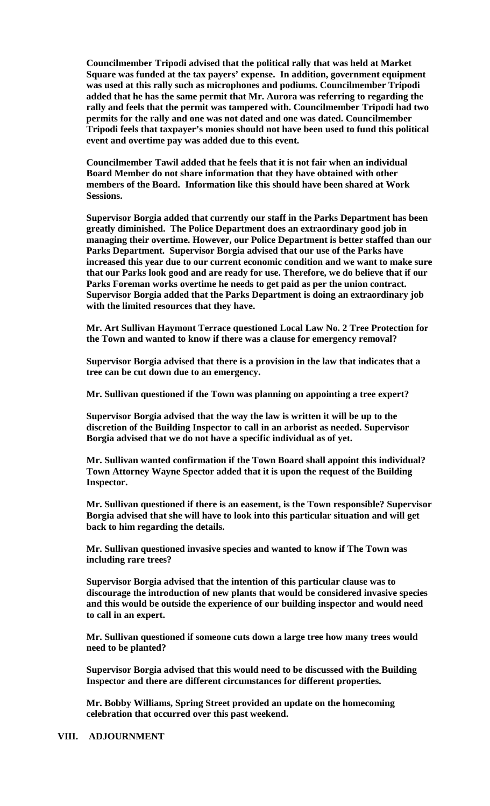**Councilmember Tripodi advised that the political rally that was held at Market Square was funded at the tax payers' expense. In addition, government equipment was used at this rally such as microphones and podiums. Councilmember Tripodi added that he has the same permit that Mr. Aurora was referring to regarding the rally and feels that the permit was tampered with. Councilmember Tripodi had two permits for the rally and one was not dated and one was dated. Councilmember Tripodi feels that taxpayer's monies should not have been used to fund this political event and overtime pay was added due to this event.** 

**Councilmember Tawil added that he feels that it is not fair when an individual Board Member do not share information that they have obtained with other members of the Board. Information like this should have been shared at Work Sessions.**

**Supervisor Borgia added that currently our staff in the Parks Department has been greatly diminished. The Police Department does an extraordinary good job in managing their overtime. However, our Police Department is better staffed than our Parks Department. Supervisor Borgia advised that our use of the Parks have increased this year due to our current economic condition and we want to make sure that our Parks look good and are ready for use. Therefore, we do believe that if our Parks Foreman works overtime he needs to get paid as per the union contract. Supervisor Borgia added that the Parks Department is doing an extraordinary job with the limited resources that they have.**

**Mr. Art Sullivan Haymont Terrace questioned Local Law No. 2 Tree Protection for the Town and wanted to know if there was a clause for emergency removal?**

**Supervisor Borgia advised that there is a provision in the law that indicates that a tree can be cut down due to an emergency.** 

**Mr. Sullivan questioned if the Town was planning on appointing a tree expert?**

**Supervisor Borgia advised that the way the law is written it will be up to the discretion of the Building Inspector to call in an arborist as needed. Supervisor Borgia advised that we do not have a specific individual as of yet.**

**Mr. Sullivan wanted confirmation if the Town Board shall appoint this individual? Town Attorney Wayne Spector added that it is upon the request of the Building Inspector.**

**Mr. Sullivan questioned if there is an easement, is the Town responsible? Supervisor Borgia advised that she will have to look into this particular situation and will get back to him regarding the details.**

**Mr. Sullivan questioned invasive species and wanted to know if The Town was including rare trees?**

**Supervisor Borgia advised that the intention of this particular clause was to discourage the introduction of new plants that would be considered invasive species and this would be outside the experience of our building inspector and would need to call in an expert.**

**Mr. Sullivan questioned if someone cuts down a large tree how many trees would need to be planted?**

**Supervisor Borgia advised that this would need to be discussed with the Building Inspector and there are different circumstances for different properties.** 

**Mr. Bobby Williams, Spring Street provided an update on the homecoming celebration that occurred over this past weekend.** 

#### **VIII. ADJOURNMENT**